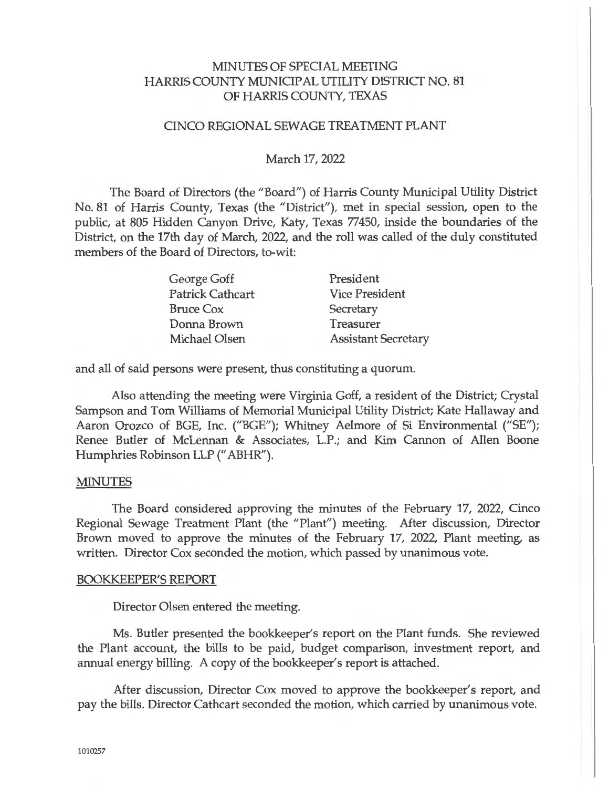## MINUTES OF SPECIAL MEETING HARRIS COUNTY MUNICIPAL UTILITY DISTRICT NO. 81 OF HARRIS COUNTY, TEXAS

#### CINCO REGIONAL SEWAGE TREATMENT PLANT

#### March 17, 2022

The Board of Directors (the "Board") of Harris County Municipal Utility District No. 81 of Harris County, Texas (the "District"), met in special session, open to the public, at 805 Hidden Canyon Drive, Katy, Texas 77450, inside the boundaries of the District, on the 17th day of March, 2022, and the roll was called of the duly constituted members of the Board of Directors, to-wit:

| George Goff             | President                  |
|-------------------------|----------------------------|
| <b>Patrick Cathcart</b> | <b>Vice President</b>      |
| <b>Bruce Cox</b>        | Secretary                  |
| Donna Brown             | Treasurer                  |
| Michael Olsen           | <b>Assistant Secretary</b> |

and all of said persons were present, thus constituting a quorum.

Also attending the meeting were Virginia Goff, a resident of the District; Crystal Sampson and Tom Williams of Memorial Municipal Utility District; Kate Hallaway and Aaron Orozco of BGE, Inc. ("BGE"); Whitney Aelmore of Si Environmental ("SE"); Renee Butler of McLennan & Associates, L.P.; and Kim Cannon of Allen Boone Humphries Robinson LLP (" ABHR").

#### MINUTES

The Board considered approving the minutes of the February 17, 2022, Cinco Regional Sewage Treatment Plant (the "Plant") meeting. After discussion, Director Brown moved to approve the minutes of the February 17, 2022, Plant meeting, as written. Director Cox seconded the motion, which passed by unanimous vote.

#### BOOKKEEPER'S REPORT

Director Olsen entered the meeting.

Ms. Butler presented the bookkeeper's report on the Plant funds. She reviewed the Plant account, the bills to be paid, budget comparison, investment report, and annual energy billing. A copy of the bookkeeper's report is attached.

After discussion, Director Cox moved to approve the bookkeeper's report, and pay the bills. Director Cathcart seconded the motion, which carried by unanimous vote.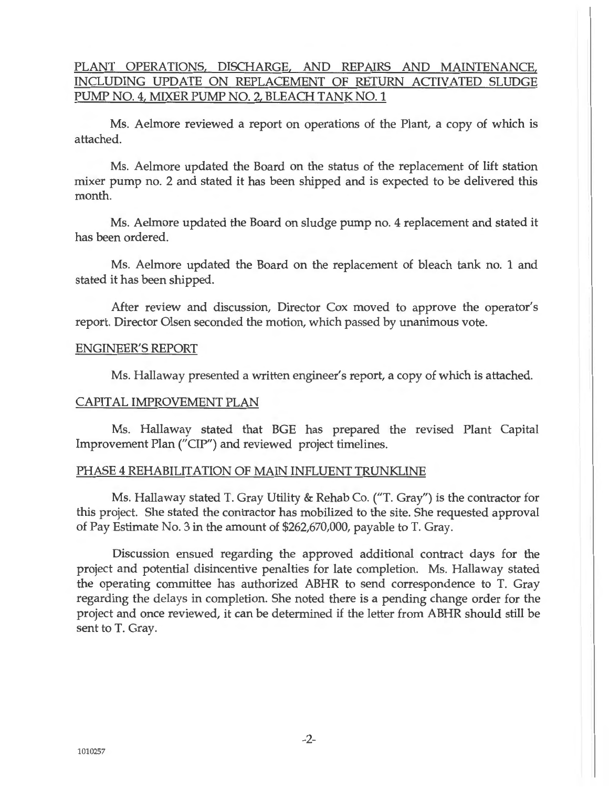## PLANT OPERATIONS, DISCHARGE, AND REPAIRS AND MAINTENANCE, INCLUDING UPDATE ON REPLACEMENT OF RETURN ACTIVATED SLUDGE PUMP NO. 4, MIXER PUMP NO. 2, BLEACH TANK NO. 1

Ms. Aelmore reviewed a report on operations of the Plant, a copy of which is attached.

Ms. Aelmore updated the Board on the status of the replacement of lift station mixer pump no. 2 and stated it has been shipped and is expected to be delivered this month.

Ms. Aelmore updated the Board on sludge pump no. 4 replacement and stated it has been ordered.

Ms. Aelmore updated the Board on the replacement of bleach tank no. 1 and stated it has been shipped.

After review and discussion, Director Cox moved to approve the operator's report. Director Olsen seconded the motion, which passed by unanimous vote.

#### ENGINEER'S REPORT

Ms. Hallaway presented a written engineer's report, a copy of which is attached.

#### CAPITAL IMPROVEMENT PLAN

Ms. Hallaway stated that BGE has prepared the revised Plant Capital Improvement Plan ("CIP") and reviewed project timelines.

#### PHASE 4 REHABILITATION OF MAIN INFLUENT TRUNKLINE

Ms. Hallaway stated T. Gray Utility & Rehab Co. ("T. Gray") is the contractor for this project. She stated the contractor has mobilized to the site. She requested approval of Pay Estimate No. 3 in the amount of \$262,670,000, payable to T. Gray.

Discussion ensued regarding the approved additional contract days for the project and potential disincentive penalties for late completion. Ms. Hallaway stated the operating committee has authorized ABHR to send correspondence to T. Gray regarding the delays in completion. She noted there is a pending change order for the project and once reviewed, it can be determined if the letter from ABHR should still be sent to T. Gray.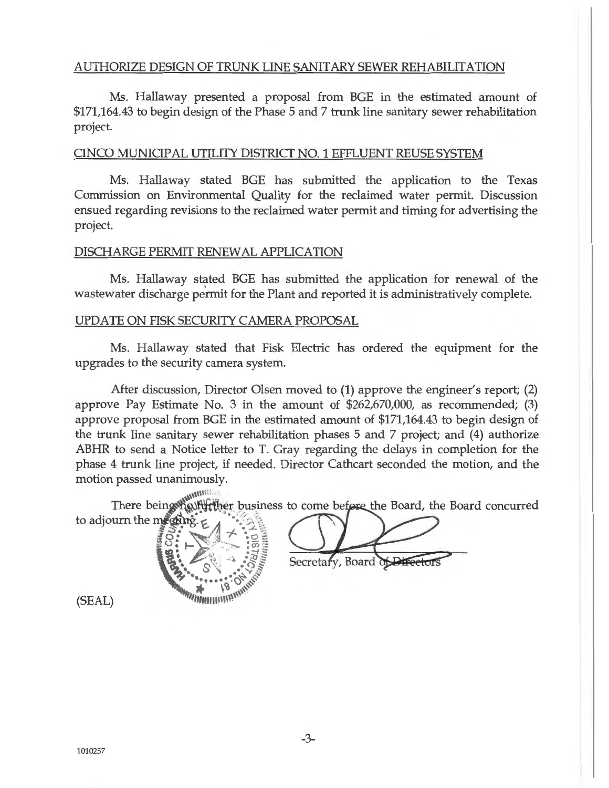## AUTHORIZE DESIGN OF TRUNK LINE SANITARY SEWER REHABILITATION

Ms. Hallaway presented a proposal from BGE in the estimated amount of \$171,164.43 to begin design of the Phase 5 and 7 trunk line sanitary sewer rehabilitation project.

## CINCO MUNICIPAL UTILITY DISTRICT NO. 1 EFFLUENT REUSE SYSTEM

Ms. Hallaway stated BGE has submitted the application to the Texas Commission on Environmental Quality for the reclaimed water permit. Discussion ensued regarding revisions to the reclaimed water permit and timing for advertising the project.

## DISCHARGE PERMIT RENEWAL APPLICATION

Ms. Hallaway stated BGE has submitted the application for renewal of the wastewater discharge permit for the Plant and reported it is administratively complete.

## UPDATE ON FISK SECURITY CAMERA PROPOSAL

Ms. Hallaway stated that Fisk Electric has ordered the equipment for the upgrades to the security camera system.

After discussion, Director Olsen moved to (1) approve the engineer's report; (2) approve Pay Estimate No. 3 in the amount of \$262,670,000, as recommended; (3) approve proposal from BGE in the estimated amount of \$171,164.43 to begin design of the trunk line sanitary sewer rehabilitation phases 5 and 7 project; and (4) authorize ABHR to send a Notice letter to T. Gray regarding the delays in completion for the phase 4 trunk line project, if needed. Director Cathcart seconded the motion, and the motion passed unanimously.

There being winning to adjourn the meeting.



Secretary, Board of Director

(SEAL)